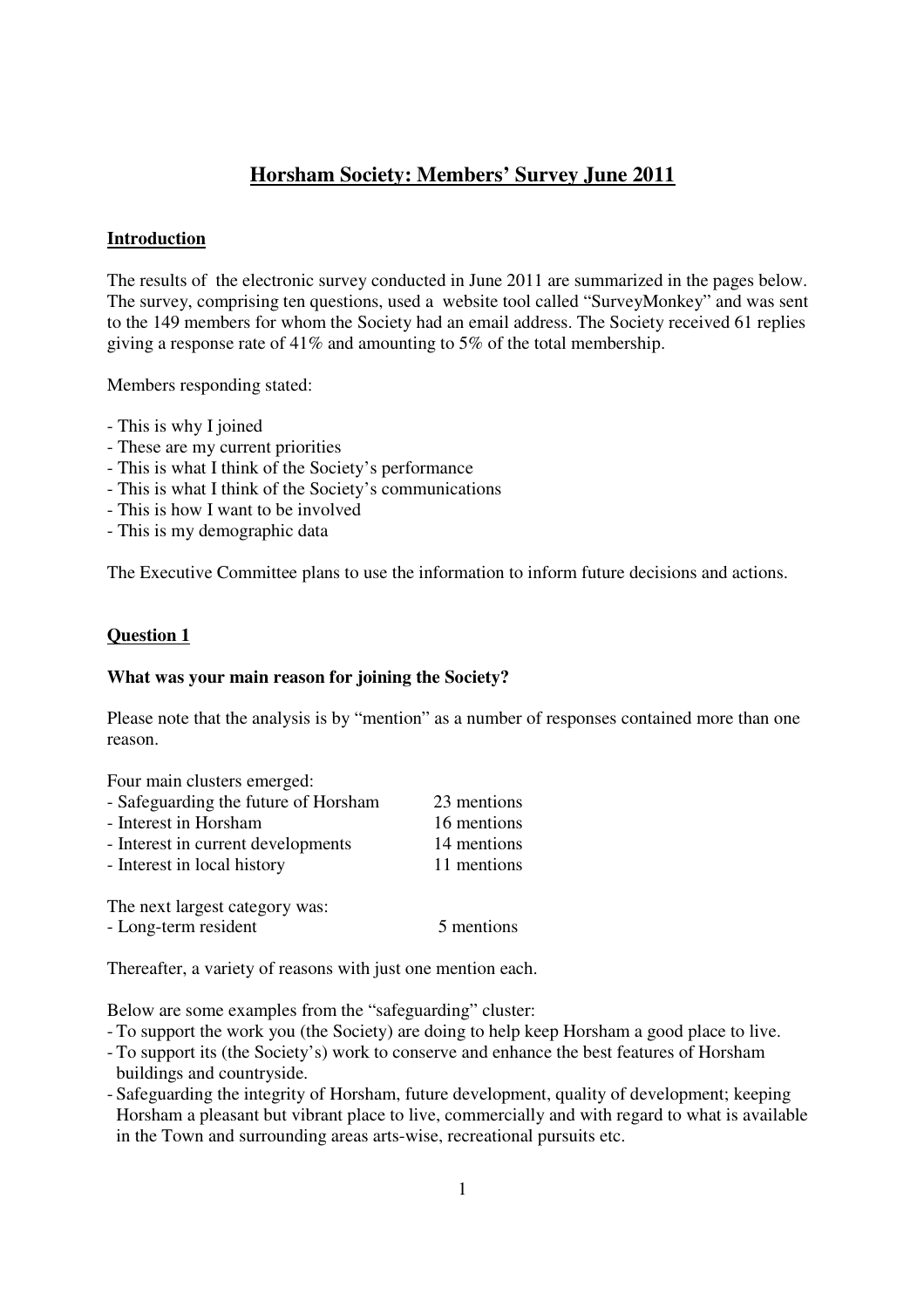# **Horsham Society: Members' Survey June 2011**

### **Introduction**

The results of the electronic survey conducted in June 2011 are summarized in the pages below. The survey, comprising ten questions, used a website tool called "SurveyMonkey" and was sent to the 149 members for whom the Society had an email address. The Society received 61 replies giving a response rate of 41% and amounting to 5% of the total membership.

Members responding stated:

- This is why I joined
- These are my current priorities
- This is what I think of the Society's performance
- This is what I think of the Society's communications
- This is how I want to be involved
- This is my demographic data

The Executive Committee plans to use the information to inform future decisions and actions.

### **Question 1**

### **What was your main reason for joining the Society?**

Please note that the analysis is by "mention" as a number of responses contained more than one reason.

Four main clusters emerged:

| - Safeguarding the future of Horsham | 23 mentions |
|--------------------------------------|-------------|
| - Interest in Horsham                | 16 mentions |
| - Interest in current developments   | 14 mentions |
| - Interest in local history          | 11 mentions |
|                                      |             |

The next largest category was:

- Long-term resident 5 mentions

Thereafter, a variety of reasons with just one mention each.

Below are some examples from the "safeguarding" cluster:

- To support the work you (the Society) are doing to help keep Horsham a good place to live.
- To support its (the Society's) work to conserve and enhance the best features of Horsham buildings and countryside.
- Safeguarding the integrity of Horsham, future development, quality of development; keeping Horsham a pleasant but vibrant place to live, commercially and with regard to what is available in the Town and surrounding areas arts-wise, recreational pursuits etc.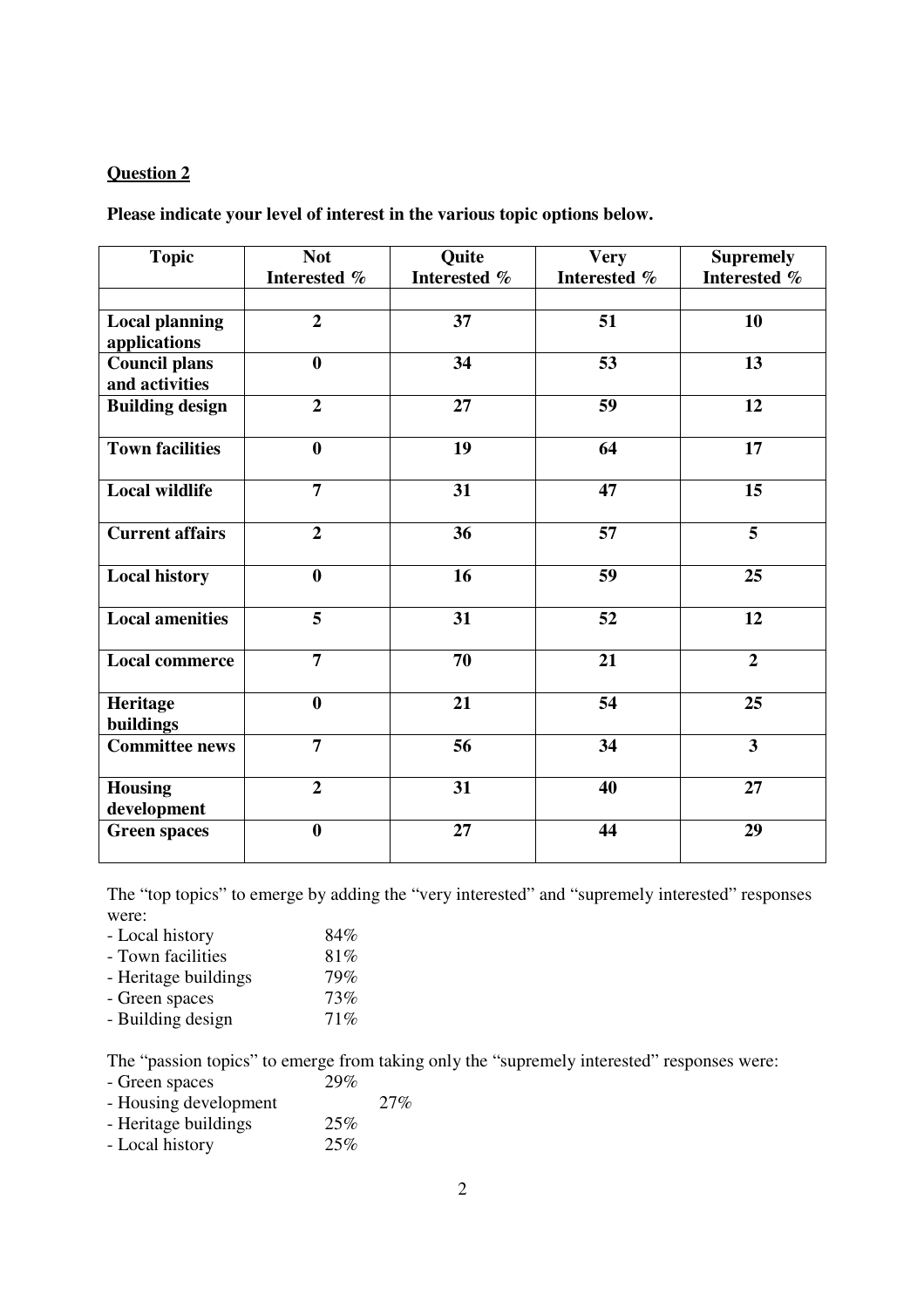**Please indicate your level of interest in the various topic options below.** 

| <b>Topic</b>                           | <b>Not</b><br>Interested % | Quite<br>Interested % | <b>Very</b><br>Interested % | <b>Supremely</b><br>Interested % |
|----------------------------------------|----------------------------|-----------------------|-----------------------------|----------------------------------|
| <b>Local planning</b>                  | $\overline{2}$             | 37                    | 51                          | 10                               |
| applications                           |                            |                       |                             |                                  |
| <b>Council plans</b><br>and activities | $\boldsymbol{0}$           | 34                    | 53                          | 13                               |
| <b>Building design</b>                 | $\overline{2}$             | 27                    | 59                          | 12                               |
| <b>Town facilities</b>                 | $\boldsymbol{0}$           | 19                    | 64                          | 17                               |
| <b>Local wildlife</b>                  | $\overline{7}$             | 31                    | 47                          | 15                               |
| <b>Current affairs</b>                 | $\overline{2}$             | 36                    | 57                          | 5                                |
| <b>Local history</b>                   | $\bf{0}$                   | 16                    | 59                          | 25                               |
| <b>Local amenities</b>                 | 5                          | 31                    | 52                          | 12                               |
| <b>Local commerce</b>                  | $\overline{7}$             | 70                    | 21                          | $\overline{2}$                   |
| Heritage<br>buildings                  | $\bf{0}$                   | 21                    | 54                          | 25                               |
| Committee news                         | $\overline{7}$             | 56                    | 34                          | $\overline{\mathbf{3}}$          |
| <b>Housing</b><br>development          | $\overline{2}$             | 31                    | 40                          | 27                               |
| <b>Green spaces</b>                    | $\boldsymbol{0}$           | 27                    | 44                          | 29                               |

The "top topics" to emerge by adding the "very interested" and "supremely interested" responses were:

- Local history 84%
- Town facilities 81%<br>- Heritage buildings 79%
- Heritage buildings
- Green spaces 73%<br>- Building design 71%
- Building design

The "passion topics" to emerge from taking only the "supremely interested" responses were:

- Green spaces 29%
- Housing development 27%
- Heritage buildings 25%
- Local history 25%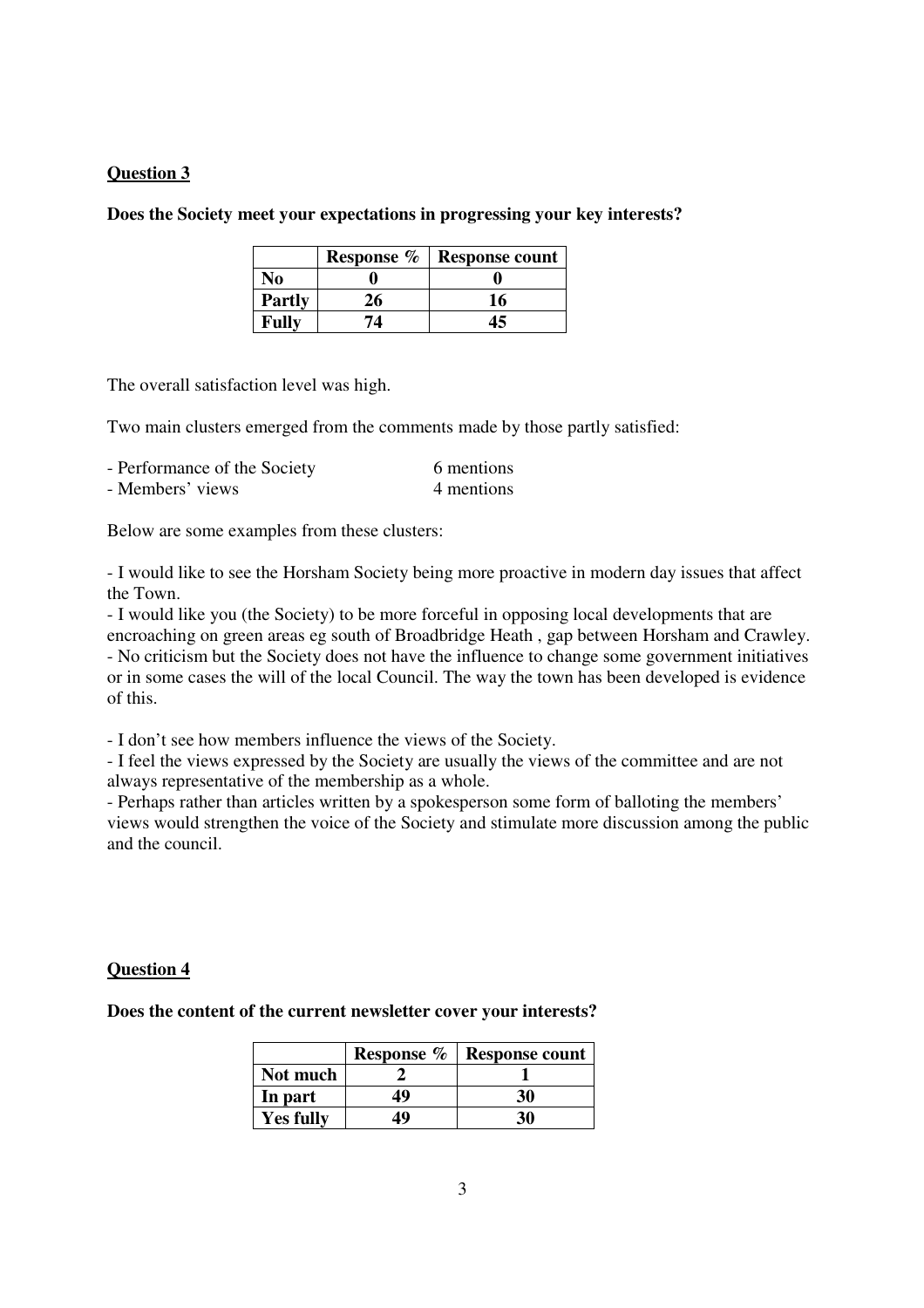### **Does the Society meet your expectations in progressing your key interests?**

|               | Response % | <b>Response count</b> |
|---------------|------------|-----------------------|
| No            |            |                       |
| <b>Partly</b> | 26         | 16                    |
| Fully         | 74         | 15                    |

The overall satisfaction level was high.

Two main clusters emerged from the comments made by those partly satisfied:

| - Performance of the Society | 6 mentions |
|------------------------------|------------|
| - Members' views             | 4 mentions |

Below are some examples from these clusters:

- I would like to see the Horsham Society being more proactive in modern day issues that affect the Town.

- I would like you (the Society) to be more forceful in opposing local developments that are encroaching on green areas eg south of Broadbridge Heath , gap between Horsham and Crawley. - No criticism but the Society does not have the influence to change some government initiatives or in some cases the will of the local Council. The way the town has been developed is evidence of this.

- I don't see how members influence the views of the Society.

- I feel the views expressed by the Society are usually the views of the committee and are not always representative of the membership as a whole.

- Perhaps rather than articles written by a spokesperson some form of balloting the members' views would strengthen the voice of the Society and stimulate more discussion among the public and the council.

### **Question 4**

**Does the content of the current newsletter cover your interests?** 

|                  | Response % | <b>Response count</b> |
|------------------|------------|-----------------------|
| Not much         |            |                       |
| In part          | 49         | 30                    |
| <b>Yes fully</b> | 49         | 30                    |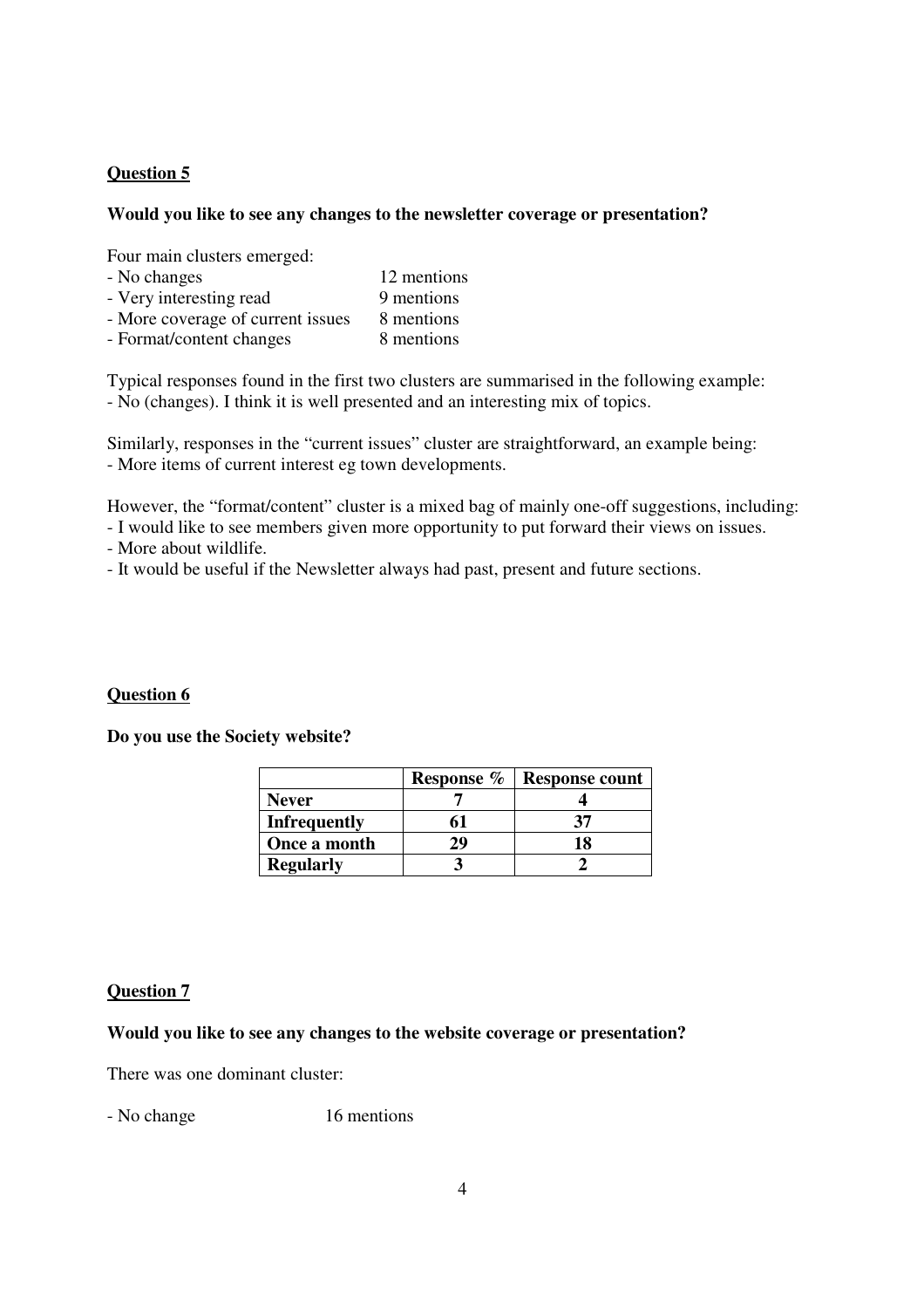### **Would you like to see any changes to the newsletter coverage or presentation?**

Four main clusters emerged:

| - No changes                      | 12 mentions |
|-----------------------------------|-------------|
| - Very interesting read           | 9 mentions  |
| - More coverage of current issues | 8 mentions  |
| - Format/content changes          | 8 mentions  |

Typical responses found in the first two clusters are summarised in the following example: - No (changes). I think it is well presented and an interesting mix of topics.

Similarly, responses in the "current issues" cluster are straightforward, an example being: - More items of current interest eg town developments.

However, the "format/content" cluster is a mixed bag of mainly one-off suggestions, including:

- I would like to see members given more opportunity to put forward their views on issues.

- More about wildlife.

- It would be useful if the Newsletter always had past, present and future sections.

### **Question 6**

**Do you use the Society website?** 

|                     | Response % | <b>Response count</b> |
|---------------------|------------|-----------------------|
| <b>Never</b>        |            |                       |
| <b>Infrequently</b> |            |                       |
| Once a month        | 29         |                       |
| <b>Regularly</b>    |            |                       |

### **Question 7**

#### **Would you like to see any changes to the website coverage or presentation?**

There was one dominant cluster:

- No change 16 mentions